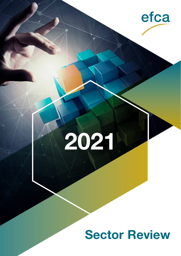

# **2021**

# **Sector Review**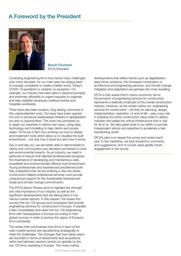# A Foreword by the President



Benoît Clocheret EFCA President

Consulting engineering firms have faced many challenges over many decades, for our main task has always been to manage complexity to create a better world. Today's COVID-19 pandemic is certainly no exception. For example, our industry has been able to respond promptly and extremely efficiently to urgent requests to organise and help establish temporary medical centres and hospitals worldwide.

There have also been positive, long-lasting outcomes of this unprecedented crisis. Our eyes have been opened not only to structural weaknesses inherent to globalisation but also to opportunities. The crisis has prompted us to apply our expertise in radical new ways, using data, technology and modelling to help clients and society adapt. Firms are in fact now working out how to design and implement tools which allow us to visualise the built environment – not only how it looks but also how it works.

Day in and day out, we are better able to demonstrate to clients and communities how decisions are linked to costs and environmental impacts. As an industry, we need in particular to ensure that talented professionals recognise the importance of developing and maintaining a safe, hospitable and environmentally efficient built environment. Young professionals and experienced practitioners both fully understand that we are entering a new era where construction-related professional services must provide unequivocal support for the Sustainable Development Goals and climate change commitments.

The EFCA Sector Review aims to highlight the strength and vital importance of our industry as well as the significant developments that are taking place in our various market sectors. In this respect, the review first surveys the top 125 groups and companies that provide engineering services for construction in Europe. In parallel, it also consolidates and ranks the top 100 engineering firms with headquarters in Europe according to their global turnover in order to portray the vigour of Europe's firms worldwide.

The review then summarises how firms in each of the main market sectors are repositioning strategically to meet the challenges. The changes that have taken place are recorded in terms of divestments and acquisitions within and between sectors carried out globally by the top 125 firms operating in Europe. The cross-cutting

developments that reflect trends such as digitalisation, data-driven solutions, the increased combination of architecture and engineering services, and climate change mitigation and adaptation are perhaps the most revealing.

EFCA is fully aware that in macro-economic terms the provision of engineering services for construction represents a relatively small part of the overall construction industry. However, as the review points out, engineering services for construction – be they for planning, design, implementation, operation, or end-of-life – play a key role in enabling the entire construction value chain to deliver, maintain and adapt the critical infrastructure that is vital for all of us. We take great pride in our ability to provide independent advice and expertise to accelerate a fasttransitioning world.

EFCA's plan is to repeat the survey and review each year. In the meantime, we look forward to comments and suggestions, and of course value greatly future engagement in the survey.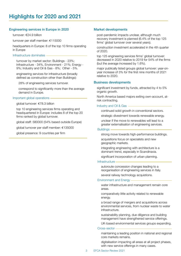#### Engineering services in Europe in 2020

turnover: €24.9 billion

turnover per staff member: €115000

headquarters in Europe: 8 of the top 10 firms operating in Europe

#### Infrastructure dominates

turnover by market sector: Buildings - 23%; Infrastructure - 34%, Environment - 21%; Energy - 9%; Industry and Oil & Gas - 8%; Other - 5%.

engineering services for infrastructure (broadly defined as construction other than Buildings):

28% of engineering services turnover.

correspond to significantly more than the average demand in Europe.

#### Important global operations

global turnover: €78.3 billion

top 10 engineering services firms operating and headquartered in Europe: includes 8 of the top 20 firms ranked by global turnover.

global staff: 580000 (54% based outside Europe)

global turnover per staff member: €135000

global presence: 9 countries per firm

#### Market developments

post-pandemic impacts unclear, although much recovery investment is planned (6.4% of the top 125 firms' global turnover over several years).

construction investment accelerated in the 4th quarter of 2020.

top 125 engineering services firms' global turnover: decreased in 2020 relative to 2019 for 54% of the firms (but the average increased by 1.6%).

major publically listed groups global turnover: year-onyear increase of 3% for the first nine months of 2021 relative to 2020.

#### Business developments

significant investment by funds, attracted by 4 to 5% organic growth.

North America based majors exiting own-account, atrisk contracting.

#### Industry and Oil & Gas

continued solid growth in conventional sectors.

strategic divestment towards renewable energy.

unclear if the move to renewables will lead to a greater externalisation of engineering services.

#### **Buildings**

strong move towards high-performance buildings.

acquisitions focus on specialists and new geographic markets.

integrating engineering with architecture is a dominant trend, especially in Scandinavia.

significant incorporation of urban planning.

#### Infrastructure

autoroute concession changes leading to a reorganisation of engineering services in Italy.

several railway technology acquistions.

#### Environment and Energy

water infrastructure and management remain core areas.

comparatively little activity related to renewable energy.

a broad range of mergers and acquisitions across environmental services, from nuclear waste to water infrastructure.

sustainability planning, due diligence and building management have strengthened service offerings.

UK-based environmental services groups expanding.

#### Cross-sector

maintaining a leading position in national and regional core markets remains.

digitalisation impacting all areas at all project phases, with new service offerings in many cases.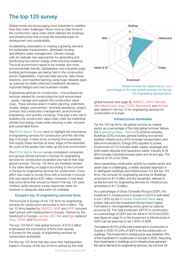# The top 125 survey

Global trends are encouraging most industries to redefine how they meet challenges. None more so than those in the construction value chain which delivers the buildings and infrastructure that provide the essential basis for development and sustainability.

Accelerating urbanisation is creating a growing demand for sustainable transportation, affordable housing and efficient water management. Climate change calls for radically new approaches for generating and distributing low-carbon energy while ensuring resilience. The built environment needs to be smarter and more environmentally friendly. Globalisation and industrial-scale building technologies are taking hold in the construction sector. Digitalisation, improved data security, data-driven solutions, and machine learning using huge datasets open up avenues for better-informed investment decisions, improved designs and new business models.

Engineering services for construction – the professional services needed for constructing the built environment – guide, manage and support the construction value chain. These services arise in master planning, preliminary studies, design, procurement, technical assistance, project, contract and construction management, environmental engineering, and quantity surveying. They play a key role in enabling the construction value chain meet the interlinked climate and energy crises while ensuring a safe, inclusive and sustainable future.

The EFCA Sector Review aims to highlight the importance of engineering services for construction and the role they play in Europe. It does so by surveying the businesses that supply these services at every stage of the extended life-cycle of the assets that make up the built environment.

The EFCA Sector Review survey considered companies and groups whose turnover in Europe for engineering services for construction exceeded one-half of their total global turnover. The top 125 firms are therefore ranked in the table starting on page 6 according to the turnover in Europe for engineering services for construction. Every effort was made to survey firms with a turnover in Europe that was above about €20 million. However, it was likely that some firms that should be listed in the top 125 were omitted, partly because survey responses were not received or adequate data were not available.

#### Europe's top 10 engineering services firms

The turnover in Europe of the 125 firms for engineering services for construction amounted to €24.9 billion. The top 10 firms headed by SWECO, WSP and AFRY included eight groups with headquarters in Europe. Ranked by the headcount in Europe, Jacobs, AECOM, and Egis replaced Arup, COWI, and Norconsult.

The top 125 firms' total global turnover of €78.3 billion emphasises the importance of firms that operate in Europe for the supply of engineering services for construction worldwide.

For the top 125 firms that also have their headquarters based in Europe, of the top 20 firms ranked by the total



Global turnover by market sector, as a percentage of the total global turnover, for the top 125 engineering services firms.

global turnover (see page 9), SWECO, AFRY, Rambøll, Mott MacDonald, Arup, COWI, Norconsult, and Arcadis also ranked in the top 10 for engineering services for construction in Europe.

#### Infrastructure dominates

For the 125 top firms, the global turnover by market sector as a percentage of the total global turnover follows the Engineering News - Record [1] scheme whereby: Buildings (23%) includes general building and service facilities; Infrastructure (34%) includes transportation and telecommunications; Energy (9%) equates to power; Environment (21%) includes water supply, sewerage and solid waste disposal and hazardous waste; Industry & Oil (8%) includes industrial process plant and oil and gas. The balance of 5% is for Other.

Since separating construction activity by market sector and asset class is challenging, a widely adopted approach is to distinguish buildings and infrastructure. For the top 125 firms, the turnover for engineering services for Buildings amounted to €7.0 billion and the remainder, referred to as the turnover for engineering services for infrastructure, amounted to €17.9 billion.

As a percentage of Gross Domestic Product (GDP), the investment in infrastructure in Europe in 2019 is estimated to be 1.63% by the European Investment Bank using project data and the investment (Gross Fixed Capital Formation) in civil engineering works given by national accounts [2]. The total investment (GFCF) in construction as a percentage of GDP was the same in 2019 and 2020 (see figure on page 5) so the investment in infrastructure in 2020 can be assumed to be 1.63% of GDP.

The balance (8.6%) of the total investment in construction in Europe in 2020 (10.23% of GDP) is for the construction of buildings. The investment in infrastructure was therefore 16% of the investment in construction in Europe in 2020. Assuming that investments in buildings and in infrastructure generate the same demand for engineering services, the turnover for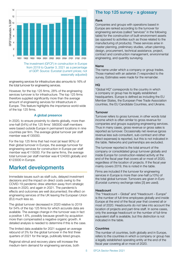

from 2019 to Quarter 3, 2021 as a percentage of GDP. Source: Eurostat (current prices; not seasonally adjusted)

engineering services for infrastructure also amounts to 16% of the total turnover for engineering services.

However, for the top 125 firms, 28% of the engineering services turnover is for infrastructure. The top 125 firms therefore supplied significantly more than the average amount of engineering services for infrastructure in Europe. This feature highlights the importance world-wide of the top 125 firms.

#### A global presence

In 2020, to ensure proximity to clients globally, more than one-half (54%) of the 125 firms' 580000 staff members were based outside Europe in permanent locations in nine countries per firm. The average global turnover per staff member was €135000.

For the top 125 firms that had most (at least 90%) of their global turnover in Europe, the average turnover for engineering services for construction in Europe per staff member was €115000. For the same firms, the average total turnover per staff member was €124000 globally and €123000 in Europe.

## Market developments

Immediate issues such as staff cuts, delayed investment decisions and the impact on direct costs owing to the COVID-19 pandemic drew attention away from strategic issues in 2020, and again in 2021. The pandemic's effects and outcomes are well documented; the effect on engineering services of the UK leaving the European Union (EU) much less so.

The global turnover decreased in 2020 relative to 2019 for 54% of the top 125 firms for which accurate data are available. The average change in the turnover was in fact a positive 1.6%, possibly because growth by acquistion more than compensated a negative organic growth. A detailed analysis is needed to determine if this is the case.

The limited data available for 2021 suggest an average rebound of 3% for the global turnover in the first three quarters of 2021 for the large, publically listed groups.

Regional stimuli and recovery plans will increase the medium-term demand for engineering services, both

#### The top 125 survey - a glossary

#### Rank

Companies and groups with operations based in Europe are ranked according to the turnover for engineering services (called "services" in the following table) for the construction of built-environment assets (as opposed to activities such as those related to the manufacturing of products). These services arise in master planning, preliminary studies, urban planning, design, procurement, technical assistance, project, contract and construction management, environmental engineering, and quantity surveying.

#### Name

The name under which a company or group trades. Those marked with an asterisk (\*) responded to the survey. Estimates were made for the remainder.

#### HQ

"Global HQ" corresponds to the country in which a company or group has its legally established headquarters. Europe is defined as including the EU Member States, the European Free Trade Association countries, the EU Candidate Countries, and Ukraine.

#### **Turnover**

Turnover refers to gross turnover, in other words total income which is often similar to gross revenue for companies and groups supplying engineering services. Thus in many cases, gross revenue or gross sales is reported as turnover. Occasionally net revenue (gross revenue less sub-consultant, sub-contract and other direct expenses) is reported, but this is not indicated in the table. Networks and partnerships are excluded.

The turnover reported is the total amount of the company or consolidated group turnover globally and inside Europe for construction-related activity at the end of the fiscal year that covers all or most of 2020, regardless of the location of projects. If the fiscal year mainly covers 2019, this is noted in the table.

Firms are included if the turnover for engineering services in Europe is more than one-half  $(\pm 10\%)$  of the total global turnover. Turnovers are given in Euro (Eurostat currency exchange rates [3] are used).

#### **Headcount**

The "Headcount – Global" and "Headcount – Europe" is the number of full-time employees globally and inside Europe at the end of the fiscal year that covered all or most of 2020. Headcounts do not take into account the location of projects and part-time staff. In some cases, only the average headcount or the number of full-time equivalent staff is available, but this distinction is not indicated in the table.

#### **Countries**

The number of countries, both globally and in Europe, refers to the countries in which a company or group has a legally established operating entity at the end of the fiscal year covering all or most of 2020.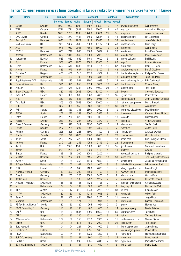## The top 125 engineering services firms operating in Europe ranked by engineering services turnover in Europe

| No.            | <b>Name</b>                            | HQ                     |                 | Turnover, $\epsilon$ million |            | <b>Headcount</b> |              | <b>Countries</b>  |                   | <b>Web domain</b>                           | <b>CEO</b>                       |
|----------------|----------------------------------------|------------------------|-----------------|------------------------------|------------|------------------|--------------|-------------------|-------------------|---------------------------------------------|----------------------------------|
|                |                                        |                        | Services Europe |                              | Gobal      | <b>Europe</b>    | Global       | <b>Europe</b>     | Global            |                                             |                                  |
| $\mathbf{1}$   | Sweco <sup>*</sup>                     | Sweden                 | 1990            | 1990                         | 1990       | 18552            | 18552        | 16                | 17                | swecogroup.com                              | Åsa Bergman                      |
| $\overline{c}$ | <b>WSP</b>                             | Canada                 | 1721            | 1721                         | 5632       | 15100            | 47000        | 14                | 40                | wsp.com                                     | Alexandre L'Heureux              |
| 3              | <b>AFRY</b>                            | Sweden                 | 1628            | 1760                         | 1893       | 14700            | 15871        | 21                | 51                | afry.com                                    | Jonas Gustavsson                 |
| 4              | SNC-Lavalin                            | Canada                 | 1220            | 1279                         | 4483       | 9400             | 37584        | 15                | 43                | snclavalin.com                              | lan L. Edwards                   |
| 5              | Rambøll*                               | <b>Denmark</b>         | 1020            | 1274                         | 1827       | 11913            | 15896        | 18                | 33                | ramboll.com                                 | Jens-Peter Saul                  |
| 6              | Mott MacDonald                         | UK                     | 920             | 1004                         | 2008       | 7500             | 15107        | 14                | 48                | mottmac.com                                 | Mike Haigh                       |
| $\overline{7}$ | Arup                                   | <b>UK</b>              | 915             | 930                          | 2041       | 7500             | 15609        | 10                | 32                | arup.com                                    | Alan Belfield                    |
| 8              | COWI <sup>*</sup>                      | Denmark                | 668             | 742                          | 865        | 5868             | 6682         | $\overline{7}$    | 20                | cowi.com                                    | Lars-Peter Søbye                 |
| 9              | Arcadis <sup>*</sup>                   | <b>Netherlands</b>     | 652             | 1019                         | 2862       | 10000            | 27939        | 12                | 30                | arcadis.com                                 | Peter Oosterveer                 |
| 10             | Norconsult                             | Norway                 | 583             | 662                          | 662        | 4400             | 4600         | 5                 | 12                | norconsult.com                              | Egil Hogna                       |
| 11             | Egis                                   | France                 | 578             | 653                          | 1070       | 8680             | 15500        | $\overline{5}$    | 82                | egis.fr                                     | Laurent Germain                  |
| 12             | Fugro                                  | Netherlands            | 502             | 540                          | 1386       | 3114             | 8724         | 16                | 67                | fugro.com                                   | Mark R.F. Heine                  |
| 13             | Artelia *                              | France                 | 486             | 575                          | 637        | 5150             | 6100         | 15                | 43                | arteliagroup.com                            | <b>Benoît Clocheret</b>          |
| 14             | Tractebel *                            | Belgium                | 458             | 458                          | 516        | 3325             | 4967         | $\overline{7}$    | 15                | tractebel-energie.com                       | Philippe Van Troeye              |
| 15             | Antea                                  | <b>Netherlands</b>     | 403             | 403                          | 493        | 2300             | 3345         | $\overline{5}$    | 18                | anteagroup.com                              | <b>Tanja Lendzion</b>            |
| 16             | Royal HaskoningDHV                     | Netherlands            | 398             | 425                          | 581        | 3797             | 4988         | 5                 | 28                | royalhaskoningdhv.com Erik Oostwegel        |                                  |
| 17             | Turner & Townsend                      | <b>UK</b>              | 391             | 391                          | 853        | 3524             | 6801         | 13                | 46                | turntown.com                                | <b>Vincent Clancy</b>            |
| 18             | <b>AECOM</b>                           | <b>USA</b>             | 388             | 655                          | 11303      | 9000             | 54000        | 24                | 72                | aecom.com                                   | <b>Troy Rudd</b>                 |
| 19             | Black & Veatch a                       | <b>USA</b>             | 380             | 815                          | 2608       | 1900             | 10400        | $\overline{4}$    | 25                | by.com                                      | Steven L. Edwards                |
| 20             | SYSTRA *                               | France                 | 360             | 360                          | 668        | 3500             | 7860         | 10                | 35                | systra.com                                  | Pierre Verzat                    |
| 21             | <b>RPS</b>                             | <b>UK</b>              | 359             | 359                          | 603        | 3800             | 5055         | $\overline{4}$    | 10                | rpsgroup.com                                | John Matheson Douglas            |
| 22             | Tetra Tech                             | <b>USA</b>             | 359             | 359                          | 2558       | 1500             | 20000        | 4                 | 20                | tetratecheurope.com                         | Dan L. Batrack                   |
| 23             | <b>RSK</b>                             | <b>UK</b>              | 322             | 358                          | 358        | 5100             | 6000         | 13                | 36                | rsk.co.uk                                   | Alan Ryder                       |
| 24             | <b>PM</b>                              | Ireland                | 261             | 350                          | 398        | 2800             | 3000         | 5                 | 10                | pmgroup-global.com                          | David Murphy                     |
| 25             | <b>INECO</b>                           | Spain                  | 252             | 270                          | 299        | 3500             | 3573         | $\overline{7}$    | 21                | ineco.com                                   | Carmen Librero Pintado           |
| 26             | Setec                                  | France                 | 250             | 250                          | 328        | 2400             | 3000         | 5                 | 18                | setec.fr                                    | Michel Kahan                     |
| 27             | Rejlers *                              | Sweden                 | 243             | 243                          | 247        | 2300             | 2370         | $\mathfrak{B}$    | $\overline{4}$    | rejlers.se                                  | <b>Viktor Svensson</b>           |
| 28             | Drees & Sommer                         | Germany                | 236             | 512                          | 517        | 3750             | 3800         | 15                | 19                | dreso.com                                   | Steffen Szeidl                   |
| 29             | Tyréns*                                | Sweden                 | 227             | 284                          | 287        | 2802             | 2802         | $\,6\,$           | $\overline{7}$    | tyrens.se                                   | Johan Dozzi                      |
| 30             | Fichtner                               | Germany                | 226             | 226                          | 226        | 1800             | 1800         | 13                | 32                | fichtner.de                                 | Andreas Weidler                  |
| 31             | Stantec*                               | Canada                 | 226             | 226                          | 2875       | 2388             | 22000        | $\,8\,$           | 22                | stantec.com                                 | Gord Johnston                    |
| 32             | <b>IDOM</b>                            | Spain                  | 223             | 247                          | 320        | 3280             | 4000         | 9                 | 13                | idom.com                                    | Luis Rodríguez Llopis            |
| 33             | Ingérop <sup>*</sup>                   | France                 | 219             | 231                          | 246        | 1956             | 2115         | 9                 | 23                | ingerop.com                                 | <b>Yves Metz</b>                 |
| 34             | Jacobs                                 | <b>USA</b>             | 213             | 1925                         | 11588      | 12600            | 55000        | 11                | 35                | jacobs.com                                  | Steven J. Demetriou              |
| 35             | Italferr                               | Italy                  | 208             | 208                          | 223        | 1630             | 1758         | $\overline{4}$    | 13                | <i>italferr.it</i>                          | Aldo Isi                         |
| 36             | Ginger*                                | France                 | 198             | 198                          | 200        | 2000             | 2200         | 4                 | 4                 | groupeginger.com                            | Philippe Margarit                |
| 37             | NIRAS <sup>*</sup>                     | <b>Denmark</b>         | 184             | 292                          | 296        | 2135             | 2210<br>4850 | 13                | 30                | niras.com                                   | Tina Hørbye Christensen          |
| 38<br>39       | Ayesa *                                | Spain                  | 165<br>162      | 165<br>162                   | 256<br>162 | 3149<br>1600     | 1600         | 6                 | 17<br>9           | ayesa.com                                   | José Luis Manzanares             |
| 40             | <b>Bilfinger Tebodin</b><br><b>DPS</b> | Netherlands<br>Ireland | 158             | 171                          | 245        | 1100             | 2000         | $\overline{9}$    |                   | tebodin.bilfinger.com<br>dpsgroupglobal.com | Wim van den Brink<br>Frank Keogh |
|                | Wayss & Freytag                        |                        | 150             | 300                          | 300        | 1100             | 1100         | 5                 | 9<br>$\mathbf{1}$ | www.wf-ib.de                                | Michael Blaschko                 |
| 41<br>42       | Dorsch                                 | Germany<br>Germany     | 141             | 203                          | 225        | 3060             | 3400         | $\mathbf{1}$<br>3 | 7                 | dorsch.com                                  | Olaf Hoffmann                    |
| 43             | <b>Asplan Viak</b>                     | Norway                 | 138             | 138                          | 138        | 1227             | 1227         | $\overline{c}$    | $\overline{c}$    | asplanviak.no                               | Elisabeth Tørstad                |
| 44             | Amstein + Walthert                     | Switzerland            | 136             | 136                          | 136        | 1128             | 1128         | 2                 | 2                 | amstein-walthert.ch                         | Christian Appert                 |
| 45             | $\sf{I}\sf{v}$                         | Netherlands            | 134             | 134                          | 134        | 800              | 800          | $\mathbf{1}$      | $\mathbf{1}$      | iv-groep.nl                                 | Rob van de Wall                  |
| 46             | ILF <sup>a</sup>                       | Austria                | 132             | 147                          | 210        | 1540             | 2200         | 12                | 38                | ilf.com                                     | Klaus Lässer                     |
| 47             | Gruner                                 | Switzerland            | 130             | 130                          | 130        | 1018             | 1018         | $\mathfrak{S}$    | $6\phantom{.}6$   | gruner.ch                                   | Olivier Aebi                     |
| 48             | Sener <sup>a</sup>                     | Spain                  | 122             | 366                          | 434        | 2700             | 3250         | 5                 | 21                | sener.es                                    | Jorge Unda                       |
| 49             | <b>Movares</b>                         | Netherlands            | 121             | 121                          | 121        | 911              | 911          | $\mathbf{1}$      | $\mathbf{1}$      | movares.nl                                  | Sander Eijgenraam                |
| 50             | PE Teknik & Arkitektur*                | Sweden                 | 120             | 120                          | 120        | 964              | 964          | $\mathbf{2}$      | 2                 | pe.se                                       | Helena Hed                       |
| 51             | GOPA Consulting *                      | Germany                | 118             | 118                          | 196        | 480              | 800          | $6\phantom{.}6$   | 14                | gopa-group.org                              | Martin Güldner                   |
| 52             | Dar a                                  | <b>UAE</b>             | 115             | 139                          | 1834       | 3000             | 18602        | 13                | 60                | dargroup.com                                | <b>Talal Shair</b>               |
| 53             | TPF*                                   | Belgium                | 110             | 133                          | 226        | 1621             | 4000         | $\boldsymbol{9}$  | 32                | tpf.eu                                      | <b>Thomas Spitaels</b>           |
| 54             | Witteveen+Bos                          | Netherlands            | 109             | 109                          | 156        | 1310             | 1330         | $\overline{4}$    | 11                | witteveenbos.com                            | Wouter Bijman                    |
| 55             | Golder                                 | <b>USA</b>             | 108             | 108                          | 811        | 850              | 7000         | 13                | 25                | golder.com                                  | Tom Logan                        |
| 56             | <b>Buro Happold</b>                    | UK                     | 104             | 104                          | 221        | 900              | 1900         | 5                 | 11                | burohappold.com                             | James Bruce                      |
| 57             | Granlund *                             | Finland                | 103             | 103                          | 103        | 1095             | 1095         | $\sqrt{3}$        | 5                 | granlundgroup.com                           | Pekka Metsi                      |
| 58             | Tauw                                   | Netherlands            | 97              | 144                          | 144        | 1229             | 1229         | 6                 | 6                 | tauw.com                                    | Henrike Branderhorst             |
| 59             | SUEZ Consulting *                      | France                 | 93              | 93                           | 127        | 800              | 1200         | 15                | 24                | suez.com                                    | <b>Bruno Hervet</b>              |
| 60             | TYPSA *                                | Spain                  | 88              | 88                           | 240        | 1355             | 2845         | $\overline{7}$    | 32                | typsa.com                                   | Pablo Bueno Tomás                |
| 61             | <b>BG Cons. Engineers</b>              | Switzerland            | 81              | 81                           | 81         | 640              | 640          | $\overline{4}$    | $\overline{5}$    | bg-21.com                                   | Pierre Epars                     |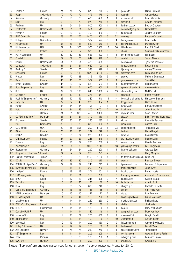| 62  | Géotec*                       | France         | 74               | 74                    | 77              | 670  | 770  | $\overline{c}$ | 4                | geotec.fr              | Olivier Barnoud                   |
|-----|-------------------------------|----------------|------------------|-----------------------|-----------------|------|------|----------------|------------------|------------------------|-----------------------------------|
| 63  | Rapp                          | Switzerland    | 70               | 70                    | $70\,$          | 475  | 475  | $\overline{c}$ | $\overline{c}$   | rapp.ch                | <b>Annette Rapp</b>               |
| 64  | Assmann                       | Germany        | 70               | 70                    | 70              | 480  | 480  | $\mathbf{1}$   | 1                | assmann.info           | Peter Warnecke                    |
| 65  | <b>SINA</b>                   | Italy          | 69               | 69                    | 70              | 270  | 270  | $\mathbf{1}$   | $\mathbf{1}$     | sinaing.it             | Alberto Pernigotti                |
| 66  | Fairhurst                     | UK             | 64               | 64                    | 64              | 500  | 500  | $\mathbf{1}$   | 1                | fairhurst.co.uk        | Bob McCracken                     |
| 67  | Oosterhoff                    | Netherlands    | 61               | 61                    | 61              | 511  | 511  | 3              | $\mathfrak{B}$   | oosterhoffgroup.eu     | <b>Gerard Doos</b>                |
| 68  | Parlym <sup>*</sup>           | France         | 60               | 60                    | 90              | 700  | 800  | $\overline{c}$ | 8                | parlym.com             | Johann Charrier                   |
| 69  | <b>RINA Consulting</b>        | Italy          | 59               | 72                    | 256             | 1400 | 1900 | 6              | 22               | rina.org               | Roberto Carpaneto                 |
| 70  | Holinger                      | Switzerland    | 58               | 58                    | 58              | 527  | 527  | 3              | 4                |                        | Peter Rudin                       |
|     |                               |                |                  |                       |                 |      |      |                |                  | holinger.com           |                                   |
| 71  | <b>Pick Everard</b>           | UK             | 56               | 56                    | 56              | 550  | 550  | $\mathbf{1}$   | $\mathbf{1}$     | pickeverard.co.uk      | Duncan Green                      |
| 72  | Hill International            | <b>USA</b>     | 52               | 44                    | 300             | 500  | 2900 | 15             | 36               | hillintl.com           | Raouf S. Ghali                    |
| 73  | Efla *                        | Iceland        | 52               | 52                    | 52              | 380  | 380  | 8              | $\,8\,$          | efla.is                | Sæmundur Sæmundsson               |
| 74  | Pell Frischmann               | UK             | 52               | 52                    | 53              | 523  | 523  | 1              | 1                | pellfrischmann.com     | lain Bisset                       |
| 75  | Cundall <sup>a</sup>          | UK             | 52               | 52                    | 76              | 849  | 879  | 5              | 11               | cundall.com            | <b>Tomás Neeson</b>               |
| 76  | Deerns                        | Netherlands    | 51               | 51                    | 51              | 438  | 438  | 6              | 9                | deerns.com             | Tjerk van der Meer                |
| 77  | Lombardi                      | Switzerland    | 51               | 51                    | 51              | 650  | 700  | 5              | 11               | lombardi.group         | Roger Bremen                      |
| 78  | Bjerking *                    | Sweden         | 50               | 50                    | 50              | 398  | 398  | 1              | 1                | bjerking.se            | Anders Wärefors                   |
| 79  | Sofrecom <sup>*</sup>         | France         | 50               | 52                    | 113             | 1879 | 2186 | $\overline{c}$ | 10               | sofrecom.com           | <b>Guillaume Boudin</b>           |
| 80  | Proger*                       | Italy          | 47               | 72                    | 88              | 313  | 466  | 3              | 14               | proger.it              | Umberto Sgambata                  |
| 81  | Keran *                       | France         | 45               | 45                    | 55              | 552  | 555  | $\mathbf{1}$   | $\overline{4}$   | groupe-keran.com       | <b>Yves Gillet</b>                |
| 82  | Bengt Dahlgren                | Sweden         | 45               | 62                    | 67              | 533  | 533  | 1              | 1                | bengtdahlgren.se       | Erik Bolander                     |
| 83  | Spea Engineering              | Italy          | 41               | 41                    | 54              | 650  | 650  | $\overline{7}$ | $\overline{9}$   | spea-engineering.it    | Antonino Galatà                   |
| 84  | <b>SLR</b>                    | UK             | 39               | 39                    | 195             | 840  | 1638 | 4              | 13               | slrconsulting.com      | Neil Penhall                      |
|     |                               |                |                  |                       |                 |      |      |                |                  |                        |                                   |
| 85  | Solwers *                     | Finland        | 38               | 42                    | 42              | 371  | 371  | $\overline{2}$ | $\overline{2}$   | solwers.fi             | Stefan Nyström                    |
| 86  | Hochtief Engineering *        | Germany        | 38               | 40                    | 45              | 340  | 540  | 14             | 14               | hochtief-enginering.de | Hansgeorg Balthaus                |
| 87  | <b>Tony Gee</b>               | UK             | 37               | 37                    | 45              | 200  | 334  | $\mathbf{1}$   | 8                | tonygee.com            | <b>Chris Young</b>                |
| 88  | Forsen                        | Sweden         | 34               | 34                    | 34              | 191  | 191  | 1              | 1                | forsen.com             | Bengt Johansson                   |
| 89  | Hatch                         | Canada         | 34               | 34                    | 1123            | 200  | 6701 | $\overline{2}$ | 16               | hatch.com              | John Bianchini                    |
| 90  | B                             | Canada         | 31               | 31                    | 323             | 450  | 3000 | 3              | 12               | ibigroup.com           | Scott Stewart                     |
| 91  | OJ Råd. Ingeniører *          | <b>Denmark</b> | 31               | 31                    | 31              | 310  | 310  | $\mathbf{1}$   | $\mathbf{1}$     | ojas.dk                | <b>Brian Thyregaard Andreasen</b> |
| 92  | ELU Konsult *                 | Sweden         | 30               | 30                    | 30              | 235  | 235  | 1              | 1                | elu.se                 | Charlotte Bergman                 |
| 93  | Pini                          | Switzerland    | 30               | 30                    | 30              | 330  | 400  | $\overline{4}$ | $\overline{5}$   | pini.group             | Andrea Galli                      |
| 94  | <b>CDM Smith</b>              | <b>USA</b>     | 29               | 35                    | 896             | 200  | 5100 | 5              | 23               | cdmsmith.com           | Timothy B. Wall                   |
| 95  | Bérim                         | France         | 28               | 28                    | 28              | 299  | 299  | $\mathbf{1}$   | $\sqrt{3}$       | berim.fr               | Hervé Brogat                      |
| 96  | Hifab *                       | Sweden         | 28               | 28                    | 34              | 230  | 300  | $\overline{c}$ | 3                | hifab.se               | Patrik Schelin                    |
| 97  |                               |                | 27               | 27                    | 27              | 248  | 248  | $\mathbf{1}$   | $\mathbf{1}$     |                        | <b>Patrick Lullin</b>             |
|     | OTE Ingénierie *              | France         |                  |                       |                 |      |      |                |                  | ote-ingenierie.com     |                                   |
| 98  | Enereco                       | Italy          | 26               | 26                    | 37              | 220  | 260  | $\overline{c}$ | 5                | enereco.com            | Claudio Avaltroni                 |
| 99  | Yuksel Proje *                | Turkey         | 24               | 24                    | 30 <sup>°</sup> | 1005 | 1113 | $\,8\,$        | 13               | yukselproje.com.tr     | Faik Tokgözoglu                   |
| 100 | Baurconsult *                 | Germany        | 24               | 24                    | 24              | 290  | 290  | 1              | 1                | baurconsult.com        | Andreas Baur                      |
| 101 | Roughan & O'Donovan * Ireland |                | 24               | 24                    | 24              | 225  | 225  | $\overline{c}$ | $\overline{c}$   | rod.ie                 | Harry Meighan                     |
| 102 | Tekfen Engineering            | Turkey         | 23               | 23                    | 23              | 1100 | 1100 | 1              | 3                | tekfenmuhendislik.com  | Fatíh Can                         |
| 103 | DGMR *                        | Netherlands    | 22               | 25                    | 25              | 215  | 215  | $\mathbf{1}$   | $\mathbf{1}$     | dgmr.nl                | Paul van Bergen                   |
| 104 | BPR Dr. Schäpertöns*          | Germany        | 22               | 22                    | 22              | 243  | 243  | $\overline{c}$ | 2                | bpr-consult.com        | Bernhard Schäpertöns              |
| 105 | <b>ByrneLooby Partners</b>    | Ireland        | 18               | 18                    | 18              | 200  | 280  | $\overline{2}$ | $\overline{5}$   | byrnelooby.com         | John Byrne                        |
| 106 | Inddigo *                     | France         | 18               | 18                    | 18              | 201  | 201  | 1              | 1                | inddigo.com            | <b>Bruno Lhoste</b>               |
| 107 | F&M Ingegneria                | Italy          | 18               | 18                    | 31              | 150  | 250  | $\sqrt{3}$     | $\boldsymbol{8}$ | fm-ingegneria.com      | Alessandro Bonaventura            |
| 108 | BAC*                          | Spain          | 17               | 17                    | 23              | 245  | 328  | $\overline{c}$ | 7                | bacecg.com             | Guillem Baraut                    |
| 109 | Technital                     | Italy          | 16               | 16                    | 26              | 180  | 180  | 5              | 16               | technital.com          | Alberto Scotti                    |
| 110 | <b>DBA</b>                    | Italy          | 16               | 35                    | 72              | 690  | 740  | 6              | 7                | dbagroup.it            | Raffaele De Bettin                |
|     |                               |                | 16               | 16                    | 16              | 185  |      | $\mathbf{1}$   |                  |                        |                                   |
| 111 | <b>CES Cons. Engineers</b>    | Germany        |                  |                       |                 |      | 185  |                | $\mathfrak{B}$   | ces.de                 | Carl Philip Hügin                 |
|     | 112 NTU International *       | Denmark        | 15               | 15                    | 15              | 122  | 122  | $\overline{c}$ | $\overline{c}$   | ntu.eu                 | Lars Bentzen                      |
|     | 113 HR Wallingford            | UK             | 14               | 22                    | 44              | 160  | 220  | $\mathbf{1}$   | $\mathfrak{B}$   | hrwallingford.com      | <b>Bruce Tomlinson</b>            |
| 114 | Max Fordham                   | UK             | 14               | 14                    | 14              | 250  | 250  | 0              | 0                | maxfordham.com         | Phil Armitage                     |
| 115 | DBFL Con. Engineers *         | Ireland        | 14               | 14                    | 14              | 180  | 180  | $\mathbf{1}$   | $\mathbf{1}$     | dbfl.ie                | Jim Lawler                        |
| 116 | BEST*                         | Luxembourg     | 14               | 14                    | 14              | 136  | 136  | 1              | 1                | best.lu                | Dany Winbomont                    |
| 117 | CampbellReith <sup>a</sup>    | <b>UK</b>      | 14               | 14                    | 14              | 149  | 149  | $\mathbf{1}$   | $\mathbf{1}$     | campbellreith.com      | Mark Kaminski                     |
| 118 | Manens-Tifs                   | Italy          | 14               | 21                    | 52              | 250  | 400  | 1              | 2                | manens-tifs.it         | Giorgio Finotti                   |
| 119 | 3TI Progetti *                | Italy          | 13               | 13                    | 15              | 100  | 100  | 5              | 10               | 3tiprogetti.it         | Alfredo Ingletti                  |
| 120 | Italconsult                   | Italy          | 12               | 13                    | 114             | 200  | 1350 | $\overline{c}$ | 9                | italconsult.com        | Antonio Bevilacqua                |
| 121 | Hulley & Kirkwood a           | UK             | 12               | 12                    | 12              | 150  | 150  | $\mathbf{1}$   | $\mathbf{1}$     | hulley.co.uk           | Donald Wood                       |
|     | 122 Aas-Jakobsen              | Norway         | 11               | 75                    | 75              | 250  | 250  | 1              | 1                | aas-jakobsen.com       | Trond Hagen                       |
|     |                               |                | 11               | 11                    | 14              | 205  | 205  | $\overline{4}$ |                  |                        |                                   |
| 123 | <b>NET Engineering</b>        | Italy          |                  |                       |                 |      |      |                | $6\,$            | net-italia.com         | Giovanni Battista Furlan          |
| 124 | Coba                          | Portugal       | $\boldsymbol{9}$ | 9                     | 20              | 190  | 290  | 1              | 8                | cobagroup.com          | Fernando Prioste                  |
|     | 125 UVATERV *                 | Hungary        | $\boldsymbol{8}$ | $\boldsymbol{\delta}$ | 8               | 200  | 200  | $\mathbf{1}$   | $\mathbf{1}$     | uvaterv.hu             | Gyula Bretz                       |

Notes: "Services" are engineering services for construction; \* survey response; a data for 2019.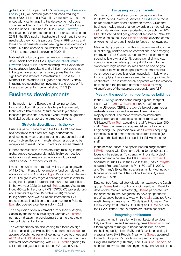globally and in Europe. The EU's Recovery and Resilience Facility (RRF) will provide grants and loans totalling at most €380 billion and €390 billion, respectively, at current prices with grants targeting the development of poorer countries. Adding to the EU's reinforced 2021-27 budget and the up to €300 billion 2020-26 Global Gateway mobilisation, RRF grants represent an increase of close to 25% in the EU's public infrastructure investment if they are used exclusively for this purpose. Overall RRF grants and loans should generate an engineering services demand of some €5 billion each year, equivalent to 6.4% of the top 125 firms' total global turnover in 2020 [4].

National stimulus programmes are too numerous to detail. Aside from the USA's Bipartisan Infrastructure Law with \$550 billion in new spending over five years for transportation, broadband and utilities, most countries in Europe have anounced recovery plans that include significant investments in infrastructure. Those for EU Member States add to RRF grants and loans. Globally, infrastructure spending (for investment and operation) is forecast as currently growing at about 5.2% [5].

# Business developments

In the medium term, Europe's engineering services for construction will focus on leading with advanced, technically differentiated, "future-proofed" yet clientfocussed professional services. Global trends augmented by digital solutions are strong structural drivers.

#### Strategic diversification is the key

Business performance during the COVID-19 pandemic has confirmed that a resilient, high-performance engineering services sector targeting geographically and sectorily diversified end markets allows resources to be redeployed to meet uninterrupted or increased demand.

Further consolidation is therefore likely, resulting in more global players coexisting alongside highly competitive national or local firms and a network of global design centres based in low-cost countries.

Investment funds are attracted by likely organic growth of 4 to 5%. In France for example, a fund completed the acquisition of a 40% stake in Egis (15500 staff) in January 2022. The group envisages a doubling in size in order to strengthen its global footprint and round-out capabilities. In the two-year 2020-21 period, Egis acquired Australia's Indec (80 staff), the UK's CPMS TOPCO (70 professionals) and France's Sisprobe (15 professionals) following taking control of Kuwait's Projacs International (600 professionals). In addition to a design centre in Poland, Egis also opened a centre in India in 2021.

The acquisition of an investment arm of India's Meghraj Capital by the Indian subsidiary of Germany's Fichtner perhaps indicates the development of a more strategic role for Indian subsidiaries.

The various trends are also leading to a focus on highvalue engineering services. This has prompted Jacobs to acquire Wood's nuclear engineering services business and AECOM and SNC-Lavalin to exit or limit own-account, atrisk fixed-price contracting, with SNC-Lavalin agreeing to sell its oil and gas business to the UAE-based Kent.

#### Focussing on core markets

With regard to market sectors in Europe during the 2020-21 period, divesting services in Oil & Gas to focus on renewables remained a common theme. Given that business models must change towards a distributed, lowcarbon, data-driven, service-oriented approach the UK's RPS divested oil and gas geological services to PetroStat; others such as the USA's Black & Veatch divested some environmental services in order to focus on renewables.

Meanwhile, groups such as Italy's Saipem are adopting a dual strategy centred around conventional and emerging Energy and Oil & Gas infrastructure (while offshore wind spending is growing at 24%, conventional oil and gas spending is nonetheless growing at 7% owing to the switch from high-carbon sources such as coal to gas). The extent to which these groups will externalise their construction services is unclear, especially in Italy where firms supplying these services are often strongly linked to contractors. This is immediately apparent with the creation of Tecne and the possible demise of Spea following Atlantia's sale of the autoroute concessionaire ASPI.

#### Meeting the need for high-perfomance buildings

In the Buildings sector, establishing a global footprint led the UK's Turner & Townsend (6800 staff) to agree to the US-based CBRE, the world's largest commercial real-estate services and investment firm, taking a majority interest. The move towards environmental high-performance buildings also accelerated with the US-based Tetra Tech acquiring the UK's Hoare Lea (900 staff), Sweco agreeing to acquire Belgium's Boydens Engineering (150 professionals), and Solwers acquiring Finland's building performance specialists Inmeco (18 staff) and the building plant specialist LVI Meskanen (9 staff).

In the mission-critical and specialised buildings market, NIRAS merged with Denmark's AlphaNordic (90 staff) to focus on life sciences. To strengthen industrial project management in general, the UK's Turner & Townsend acquired Taurus PPC in the USA in 2019, Italy's Parlymn acquired France's Asymptote Pm (160 staff) in 2021, and Germany's Exyte that specialises in high-technology facilities acquired the USA's Critical Process Systems Group (400 staff).

Data centres featured strongly with for example the Dutch group Deerns taking control of a joint venture in Brazil to develop the market. Interestingly, Deerns partnered with the architecture firm Wiegerinck to develop "pandemic proof" adaptive hospitals. Meanwhile Artelia acquired UK's Austin Newport (restoration; 25 staff) and Norway's Olav Olsen (complex structures; 110 staff) and COWI acquired the USA's Bittner-Shen, a marine structures specialist.

#### Integrating architecture

In strengthening integration with architectural services, Italy's architecture and engineering firms Manens-Tifs and Steam agreed to merge to boost capabilities, as have the building design firms BMS and Recchiengineering in creating Italy's BMS Recchi. Meanwhile Sweco acquired Finland's Optiplan (150 staff) and agreed to acquire Belgium's Talboom (110 staff). The UK's Buro Happold, an architecture firm centred on engineering, announced plans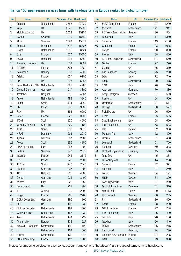### The top 100 engineering services firms with headquarters in Europe ranked by global turnover

| No.            | <b>Name</b>              | HQ          | Turnover, €m | <b>Headcount</b> |
|----------------|--------------------------|-------------|--------------|------------------|
| 1              | Arcadis                  | Netherlands | 2862         | 27939            |
| $\overline{c}$ | Arup                     | UK          | 2041         | 15609            |
| 3              | Mott MacDonald           | UK          | 2008         | 15107            |
| $\overline{4}$ | Sweco                    | Sweden      | 1990         | 18552            |
| 5              | <b>AFRY</b>              | Sweden      | 1893         | 15871            |
| 6              | Rambøll                  | Denmark     | 1827         | 15896            |
| 7              | Fugro                    | Netherlands | 1386         | 8724             |
| 8              | Egis                     | France      | 1070         | 15500            |
| 9              | COWI                     | Denmark     | 865          | 6682             |
| 10             | Turner & Townsend        | UK          | 853          | 6801             |
| 11             | <b>SYSTRA</b>            | France      | 668          | 7860             |
| 12             | Norconsult               | Norway      | 662          | 4600             |
| 13             | Artelia                  | France      | 637          | 6100             |
| 14             | <b>RPS</b>               | UK          | 603          | 5055             |
| 15             | Royal HaskoningDHV       | Netherlands | 581          | 4988             |
| 16             | Drees & Sommer           | Germany     | 517          | 3800             |
| 17             | Tractebel                | Belgium     | 516          | 4967             |
| 18             | Antea                    | Netherlands | 493          | 3345             |
| 19             | Sener                    | Spain       | 434          | 3250             |
| 20             | <b>PM</b>                | Ireland     | 398          | 3000             |
| 21             | <b>RSK</b>               | UK          | 358          | 6000             |
| 22             | Setec                    | France      | 328          | 3000             |
| 23             | <b>IDOM</b>              | Spain       | 320          | 4000             |
| 24             | Wayss & Freytag          | Germany     | 300          | 1100             |
| 25             | <b>INECO</b>             | Spain       | 299          | 3573             |
| 26             | <b>NIRAS</b>             | Denmark     | 296          | 2210             |
| 27             | Tyréns                   | Sweden      | 287          | 2802             |
| 28             | Ayesa                    | Spain       | 256          | 4850             |
| 29             | <b>RINA Consulting</b>   | Italy       | 256          | 1900             |
| 30             | Rejlers                  | Sweden      | 247          | 2370             |
| 31             | Ingérop                  | France      | 246          | 2115             |
| 32             | <b>DPS</b>               | Ireland     | 245          | 2000             |
| 33             | <b>TYPSA</b>             | Spain       | 240          | 2845             |
| 34             | Fichtner                 | Germany     | 226          | 1800             |
| 35             | <b>TPF</b>               | Belgium     | 226          | 4000             |
| 36             | Dorsch                   | Germany     | 225          | 3400             |
| 37             | Italferr                 | Italy       | 223          | 1758             |
| 38             | <b>Buro Happold</b>      | UK          | 221          | 1900             |
| 39             | ILF                      | Austria     | 210          | 2200             |
| 40             | Ginger                   | France      | 200          | 2200             |
| 41             | <b>GOPA Consulting</b>   | Germany     | 196          | 800              |
| 42             | <b>SLR</b>               | UK          | 195          | 1638             |
| 43             | <b>Bilfinger Tebodin</b> | Netherlands | 162          | 1600             |
| 44             | Witteveen+Bos            | Netherlands | 156          | 1330             |
| 45             | Tauw                     | Netherlands | 144          | 1229             |
| 46             | Asplan Viak              | Norway      | 138          | 1227             |
| 47             | Amstein + Walthert       | Switzerland | 136          | 1128             |
| 48             | Ιv                       | Netherlands | 134          | 800              |
| 49             | Gruner                   | Switzerland | 130          | 1018             |
| 50             | <b>SUEZ Consulting</b>   | France      | 127          | 1200             |

| No. | Name                        | HQ          | Turnover, $\notin$ m | <b>Headcount</b> |
|-----|-----------------------------|-------------|----------------------|------------------|
| 51  | <b>SUEZ Consulting</b>      | France      | 127                  | 1200             |
| 52  | <b>Movares</b>              | Netherlands | 121                  | 911              |
| 53  | PE Teknik & Arkitektur      | Sweden      | 120                  | 964              |
| 54  | Italconsult                 | Italy       | 114                  | 1350             |
| 55  | Sofrecom                    | France      | 113                  | 2186             |
| 56  | Granlund                    | Finland     | 103                  | 1095             |
| 57  | Parlym                      | France      | 90                   | 800              |
| 58  | Proger                      | Italy       | 88                   | 466              |
| 59  | <b>BG Cons. Engineers</b>   | Switzerland | 81                   | 640              |
| 60  | Géotec                      | France      | 77                   | 770              |
| 61  | Cundall                     | UK          | 76                   | 879              |
| 62  | Aas-Jakobsen                | Norway      | 75                   | 250              |
| 63  | DBA                         | Italy       | 72                   | 740              |
| 64  | Rapp                        | Switzerland | 70                   | 475              |
| 65  | <b>SINA</b>                 | Italy       | 70                   | 270              |
| 66  | Assmann                     | Germany     | 70                   | 480              |
| 67  | Bengt Dahlgren              | Sweden      | 67                   | 533              |
| 68  | Fairhurst                   | UK          | 64                   | 500              |
| 69  | Oosterhoff                  | Netherlands | 61                   | 511              |
| 70  | Holinger                    | Switzerland | 58                   | 527              |
| 71  | <b>Pick Everard</b>         | UK          | 56                   | 550              |
| 72  | Keran                       | France      | 55                   | 555              |
| 73  | Spea Engineering            | Italy       | 54                   | 650              |
| 74  | Pell Frischmann             | <b>UK</b>   | 53                   | 523              |
| 75  | Efla                        | Iceland     | 52                   | 380              |
| 76  | <b>Manens-Tifs</b>          | Italy       | 52                   | 400              |
| 77  | Deerns                      | Netherlands | 51                   | 438              |
| 78  | Lombardi                    | Switzerland | 51                   | 700              |
| 79  | Bjerking                    | Sweden      | 50                   | 398              |
| 80  | <b>Hochtief Engineering</b> | Germany     | 45                   | 540              |
| 81  | Tony Gee                    | UK          | 45                   | 334              |
| 82  | <b>HR Wallingford</b>       | UK          | 44                   | 220              |
| 83  | Solwers                     | Finland     | 42                   | 371              |
| 84  | Enereco                     | Italy       | 37                   | 260              |
| 85  | Forsen                      | Sweden      | 34                   | 191              |
| 86  | Hifab                       | Sweden      | 34                   | 300              |
| 87  | F&M Ingegneria              | Italy       | 31                   | 250              |
| 88  | OJ Råd. Ingeniører          | Denmark     | 31                   | 310              |
| 89  | Yuksel Proje                | Turkey      | 30                   | 1113             |
| 90  | <b>ELU Konsult</b>          | Sweden      | 30                   | 235              |
| 91  | Pini                        | Switzerland | 30                   | 400              |
| 92  | <b>Bérim</b>                | France      | 28                   | 299              |
| 93  | OTE Ingénierie              | France      | 27                   | 248              |
| 94  | <b>IRD Engineering</b>      | Italy       | 26                   | 400              |
| 95  | Technital                   | Italy       | 26                   | 180              |
| 96  | Geodata                     | Italy       | 26                   | 440              |
| 97  | <b>DGMR</b>                 | Netherlands | 25                   | 215              |
| 98  | Baurconsult                 | Germany     | 24                   | 290              |
| 99  | Roughan & O'Donovan         | Ireland     | 24                   | 225              |
| 100 | <b>BAC</b>                  | Spain       | 23                   | 328              |

Notes: "engineering services" are for construction; "turnover" and "headcount" are the global turnover and headcount.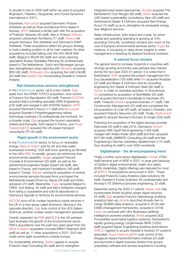to double in size to 4000 staff within six years (it acquired Brightspot, Paladino, Vanguardia, and Crowd Dynamics International in 2021).

Elsewhere, Norconsult acquired Denmark's Rubow Arkitekter as well as three architecture firms based in Norway. AFRY followed a similar path with the acquisition of Finland's Vahanen (40 staff). Also in Finland, Solwers acquired Lukkaroinen Architects (77 staff). Sweco will acquire Norway's TAG Arkitekter and Denmark's KANT Arkitekter. These acquisitions reflect the group's strategy to hold a leading position in all its main markets. Its other acquisitions included taking over the UK's MLM (460 staff), Belgium's BUUR (60 staff) and urban planning specialists Bureau Stedelijke Planning (50 professionals) based in The Netherlands. Dutch and Norwegian groups also strengthened urban planning with Movares acquiring BRO (80 staff), Witteveen+Bos acquiring the UAE's NLME (20 staff) and Asplan Viak incorporating Sweden's Urbanet Analyse.

#### Rail infrastructure services strengthened

In the Infrastructure sector, rail is a key market. Egis, aside from the CPMS TOPCO acquisition, took control of France's Est Signalisation (50 staff). France's SYSTRA acquired Italy's tunnelling specialist SWS Engineering (240 staff) and merged it with SYSTRA Sotecni. AFRY acquired Denmark's Insuco (11 staff) and Norconsult acquired Sweden's Projektengagemang railway technology business (18 professionals are involved). On a broader scale, Egis acquired the tourism specialists Voltere and Kanopée, both based in France, and Royal HaskoningDHV acquired the UK-based transport consultants ITP (40 staff).

#### Rapid growth in the environment sector

In the Environmental sector, to focus on renewable energy, Black & Veatch sold its UK and Asia water businesses involving 1200 staff (now operating as Binnies) to the UK's RSK. In parallel, groups are reinforcing their environmental capability. Ginger acquired France's Conseils & Environnement (20 staff) as well as the geotechnical engineers Sogéo Expert (26 staff), also based in France, and Hydrosol Fondations (180 staff) based in Tunisia. Stantec among its acquisition of several environmental services-focused firms purchased the Netherlands-based Driven by Values (28 staff) and AGEL adviseurs (75 staff). Meanwhile, Fugro acquired Belgium's OREX (soil testing; 30 staff) and Italy's Ambiente changed from being a cooperative and sold its laboratories to Germany's Agrolab to reinforce its environmental services.

AECOM spun off its nuclear hazardous waste services in the UK to a new group called Amentum. Moving in the opposite direction, Egis took control of the UK's Galson Sciences, another nuclear waste management specialist.

Overall, expansion by RSK and SLR in the UK perhaps best illustrates the growth of the Environmental sector. RSK's acquisitions over the past two years apart from the Black & Veatch acquisition included MWH Treatment (800 staff) as well as 11 other acquisitions in 2021. SLR has made some eight acquisitions outside Europe.

For sustainability planning, Sweco agreed to acquire Finland's Gaia Consulting (60 staff) and to strengthen integrated area-based approaches, Arcadis acquired The Netherland's Over Morgen (80 staff); Setec acquired the UAE-based sustainability consultancy Alpin (50 staff) and Switzerland's Basler & Hofmann acquired New Energy Scout (10 staff) so as to strengthen its renewable energy due-diligence services.

Water infrastructure, both inland and costal, for which capital and operating spending is growing at 10%, excluding China [6], nonethless remains very much at the core of Europe's environmental services sector. Fugro for instance, in focussing on data-driven insights to water management is divesting its Seabed Solutions business.

#### A national focus remains

The general trend to increase footprints in countries with strongly growing economies was perhaps less marked during the two-year 2020-21 period. It is noted that in Switzerland, WSP acquired the project management firm b+p baurealisation (100 staff) while Pini acquired Anastasi (20 staff) and Basler & Hofmann sold its consulting engineering firm Basler & Hofmann West (80 staff) to Gruner in order to centralise activities. In Scandinavia, OJ completed its acquisition of SlothMøller (35 staff) and acquired Denmark's Hundsbæk & Henriksen (45 staff). Finland's Solwers acquired Enerwex (11 staff), Falk Construction Management (25 staff) and completed the full acquisition of Licab (65 staff), all based in Sweden, and acquired Finland's Geounion (30 staff). Finally, Multiconsult agreed to acquire Norway's Erichsen & Horgen (235 staff).

Following the acquisition of the digital services provider Datumate (30 staff) in late-2019, Germany's Dorsch acquired GRE Gauff Rail Engineering (1400 staff), merged with Krebs+Kiefer (800 staff) and then acquired AHT (60 staff), AMBERO Consulting (40 staff) and Net Engineering's German subsidiary Spiekermann (170 staff), thus doubling its staff to over 4000 worldwide.

#### Digitalisation - the all-encompassing trend

Finally a further word about digitalisation. Golder (7000 staff) became part of WSP in 2021, in large part because of Golder's digital environmental, health and safety (EHS) credentials. Digital offerings also featured for most of AFRY's 16 acquisitions announced in 2021. These included Finland's Cubiq Analytics (data solutions; 60 staff), Sweden's Evolve (software; 60 professionals) and Norway's ITE Østerhus (process engineering; 22 staff).

Elsewhere during the 2020-21 period: Asplan Viak fully incorporated Avinet (location-aware digital services; 25 staff); Egis acquired France's Openenergy (building analytics) start-up; Arcadis launched Arcadis Gen to merge SEAMS (data analytics; acquired in 2018) with EAMS (management frameworks; acquired in 2019); Hatch co-ventured with UK's Brainwave (artificialintelligence powered analytics); Artelia acquired SDZ ProcessRéa (automated logistics systems); Switzerland's rapidly growing energy conglomerate BKW (10250 staff) acquired Sigren Engineering (building automation); SWECO agreed to acquire Sweden's AdviceU (IT systems specialist); Royal HaskoningDHV took control of the Singapore-based Hydroinformatics Institute (25 staff) and launched a digital business division that groups proprietary software and several acquisitions including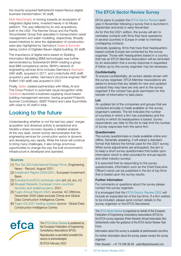the recently acquired Netherland's based Novius (digital business transformation; 50 staff).

Mott MacDonald, in moving towards an ecosystem of integrated digital twins, invested heavily in its Moata platform. This was reflected by its only acquisitions, both in the USA: The Kercher Group and the Pacific Groundwater Group that specialise in transportation asset management and water modelling, respectively. Broadly based initiatives to drive the digitalisation of construction were also highlighted by Germany's Drees & Sommer taking control of Digitales Bauen (digital building; 20 staff).

The importance of digital twins based on Building Information Modelling (BIM) technologies was further demonstrated by Switzerland's BKW creating a grouplevel BIM competence centre. BKW's network of engineering services firms includes Germany's Assmann (480 staff), acquired in 2017, and Lindschulte (400 staff) acquired a year earlier; Germany's structural engineer R&P Ruffert (190 staff) was acquired in 2021.

Finally, Setec created partnerships with Alteia\_AI and The Cross Product to automate visual recognition while Granlund launched a business supplying cloud-based building management services, having acquired Finland's Suomen Controlteam, SSEP Finland and Lieke Suunnittelu with close to 40 staff in total.

# Looking to the future

Understanding whether or not the last two years' merger, acquisition and divesture activity is exceptional and heralds a sharp recovery requires a detailed analysis. At the very least, recent activity demonstrates that the engineering services for construction sector is dynamic and developing very rapidly. While the future will continue to bring many challenges, it also brings enormous opportunities to change the way the built environment's infrastructure is developed and operated.

#### **Sources**

- [1] [The Top 225 International Design Firms,](https://www.enr.com/toplists/2021-Top-225-International-Design-Firms-Preview) Engineering News - Record, August 2021.
- [2] [Investment Report 2020/2021,](https://www.eib.org/attachments/efs/economic_investment_report_2020_chapter02_en.pdf) European Investment Bank.
- [3] [Eurostat Euro/ECU exchange rates](https://appsso.eurostat.ec.europa.eu/nui/show.do?dataset=ert_bil_eur_m) [ert\_bil\_eur\_m]
- [4] [Bruegel Datasets: European Union countries'](https://www.bruegel.org/publications/datasets/european-union-countries-recovery-and-resilience-plans)  [recovery and resilience plans](https://www.bruegel.org/publications/datasets/european-union-countries-recovery-and-resilience-plans), 2021.
- [5] [Fugro Annual Report 2020;](https://fugroannualreport.com) sources: 4C Offshore, December 2020 (data exclude China) and Global Data Construction Intelligence Centre.
- [6] [Fugro Q3 2021 trading update](https://media.fugro.com/media/docs/default-source/media-centre-doc/press-releases/2021/q3-2021-trading-update-analyst-presentation.pdf?sfvrsn=91b6bb19_2); source: Global Data Construction Intelligence Centre.



The EFCA Sector Review is published by the European Federation of Engineering Consultancy Associations (EFCA). Reproduction is permitted provided the source is acknowledged.

© EFCA February 2022

#### The EFCA Sector Review Survey

EFCA plans to publish the EFCA Sector Review each year in November following a survey that is launched in September and ends in early-November.

As for this first 2021 edition, the survey will aim to centralise contacts with firms that have operations in several countries in Europe in order to minimise overlapping contacts.

Generally speaking, firms that have their headquarters based outside Europe are contacted by the survey organiser. Those with headquarters based in a country that has an EFCA Member Association will be reminded by an association that a survey response is requested. A follow-up by the survey organiser may be necessary.

#### **Confidentiality**

To ensure confidentiality, all contact details remain with the survey organiser. EFCA Member Associations are asked to ensure that any details for new and updated contacts they may have are only sent to the survey organiser if the contact has given permission for this transfer of information to take place.

#### List

An updated list of the companies and groups that are contacted annually is made available on the survey organiser's website. The list indicates the number of countries in which a firm has subsidiaries and the country in which its headquarters is based. Survey respondents can refer to this list to help limit the number of survey responses from the same firm.

#### **Questionnaire**

The survey questionnaire is made available online and offline. Generally speaking, it will adopt a standard format that follows the format used for the 2021 survey. While some adjustments are anticipated, the aim is to keep a short survey questionnaire that builds upon information which is often provided for annual reports and other industry surveys.

It is assumed that by responding to the survey questionnaire, information such as the Chief Executive Officer's name can be published in the list of top firms that is based upon the survey results.

#### Further information

For comments or questions about the survey please contact the survey organiser.

It is envisaged that the EFCA Sector Review 2022 will include an expanded list of the top firms. If a firm wishes to be included, please send contact details to the survey organiser or the EFCA Secretariat.

The EFCA Sector Review is organised on behalf of the European Federation of Engineering Consultancy Associations (EFCA) by the EFCA survey organiser (Peter Boswell, Bricad Associates Sàrl, Switzerland) under the guidance of the EFCA Sector Review Task Force.

Information about the survey is available at peterboswell.com/efca For further information about the survey, please contact the survey organiser:

Peter Boswell - +41 79 298 96 66 - peter@peterboswell.com